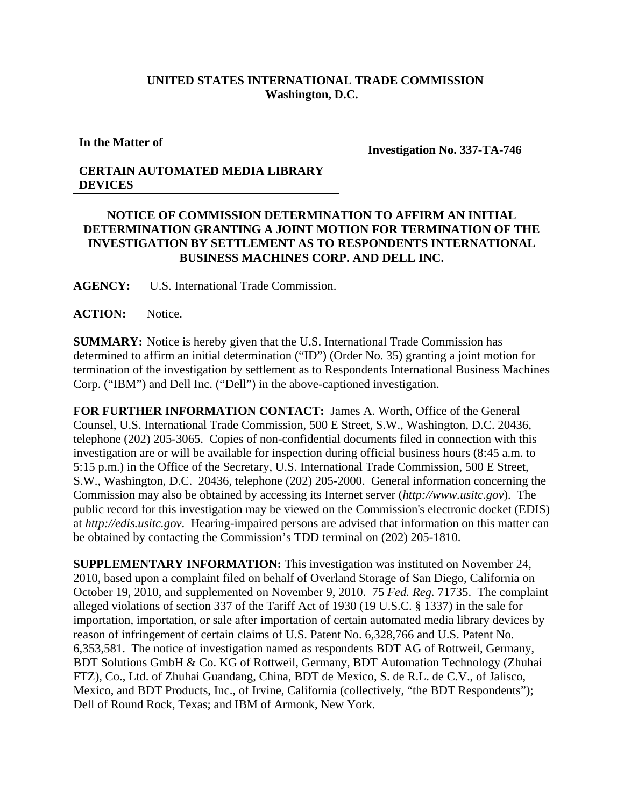## **UNITED STATES INTERNATIONAL TRADE COMMISSION Washington, D.C.**

**In the Matter of** 

## **CERTAIN AUTOMATED MEDIA LIBRARY DEVICES**

**Investigation No. 337-TA-746** 

## **NOTICE OF COMMISSION DETERMINATION TO AFFIRM AN INITIAL DETERMINATION GRANTING A JOINT MOTION FOR TERMINATION OF THE INVESTIGATION BY SETTLEMENT AS TO RESPONDENTS INTERNATIONAL BUSINESS MACHINES CORP. AND DELL INC.**

**AGENCY:** U.S. International Trade Commission.

ACTION: Notice.

**SUMMARY:** Notice is hereby given that the U.S. International Trade Commission has determined to affirm an initial determination ("ID") (Order No. 35) granting a joint motion for termination of the investigation by settlement as to Respondents International Business Machines Corp. ("IBM") and Dell Inc. ("Dell") in the above-captioned investigation.

**FOR FURTHER INFORMATION CONTACT:** James A. Worth, Office of the General Counsel, U.S. International Trade Commission, 500 E Street, S.W., Washington, D.C. 20436, telephone (202) 205-3065. Copies of non-confidential documents filed in connection with this investigation are or will be available for inspection during official business hours (8:45 a.m. to 5:15 p.m.) in the Office of the Secretary, U.S. International Trade Commission, 500 E Street, S.W., Washington, D.C. 20436, telephone (202) 205-2000. General information concerning the Commission may also be obtained by accessing its Internet server (*http://www.usitc.gov*). The public record for this investigation may be viewed on the Commission's electronic docket (EDIS) at *http://edis.usitc.gov*. Hearing-impaired persons are advised that information on this matter can be obtained by contacting the Commission's TDD terminal on (202) 205-1810.

**SUPPLEMENTARY INFORMATION:** This investigation was instituted on November 24, 2010, based upon a complaint filed on behalf of Overland Storage of San Diego, California on October 19, 2010, and supplemented on November 9, 2010. 75 *Fed. Reg.* 71735. The complaint alleged violations of section 337 of the Tariff Act of 1930 (19 U.S.C. § 1337) in the sale for importation, importation, or sale after importation of certain automated media library devices by reason of infringement of certain claims of U.S. Patent No. 6,328,766 and U.S. Patent No. 6,353,581. The notice of investigation named as respondents BDT AG of Rottweil, Germany, BDT Solutions GmbH & Co. KG of Rottweil, Germany, BDT Automation Technology (Zhuhai FTZ), Co., Ltd. of Zhuhai Guandang, China, BDT de Mexico, S. de R.L. de C.V., of Jalisco, Mexico, and BDT Products, Inc., of Irvine, California (collectively, "the BDT Respondents"); Dell of Round Rock, Texas; and IBM of Armonk, New York.